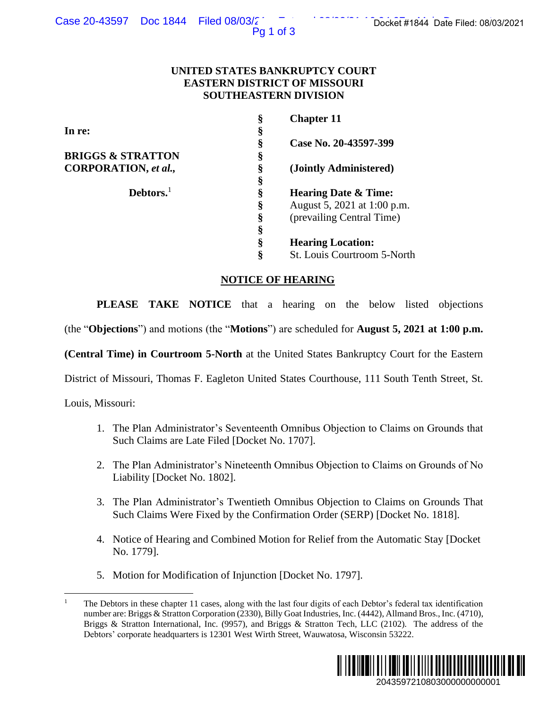## **UNITED STATES BANKRUPTCY COURT EASTERN DISTRICT OF MISSOURI SOUTHEASTERN DIVISION**

| ase 20-43597 DOC 1844 Filed 08/03/2                                                                     | Pq 1 of 3                  | Docket #1844 Date Filed: 08/03/2021                                                                                                                                                                                                                                                                                                                 |
|---------------------------------------------------------------------------------------------------------|----------------------------|-----------------------------------------------------------------------------------------------------------------------------------------------------------------------------------------------------------------------------------------------------------------------------------------------------------------------------------------------------|
|                                                                                                         |                            | UNITED STATES BANKRUPTCY COURT<br><b>EASTERN DISTRICT OF MISSOURI</b><br><b>SOUTHEASTERN DIVISION</b>                                                                                                                                                                                                                                               |
|                                                                                                         | §                          | <b>Chapter 11</b>                                                                                                                                                                                                                                                                                                                                   |
| In re:                                                                                                  |                            | Case No. 20-43597-399                                                                                                                                                                                                                                                                                                                               |
| <b>BRIGGS &amp; STRATTON</b>                                                                            |                            |                                                                                                                                                                                                                                                                                                                                                     |
| CORPORATION, et al.,                                                                                    | 89 89 99 99 99 99 99 99 99 | (Jointly Administered)                                                                                                                                                                                                                                                                                                                              |
| Debtors. <sup>1</sup>                                                                                   |                            | <b>Hearing Date &amp; Time:</b>                                                                                                                                                                                                                                                                                                                     |
|                                                                                                         |                            | August 5, 2021 at 1:00 p.m.                                                                                                                                                                                                                                                                                                                         |
|                                                                                                         |                            | (prevailing Central Time)                                                                                                                                                                                                                                                                                                                           |
|                                                                                                         |                            | <b>Hearing Location:</b>                                                                                                                                                                                                                                                                                                                            |
|                                                                                                         | Ş                          | St. Louis Courtroom 5-North                                                                                                                                                                                                                                                                                                                         |
|                                                                                                         |                            | <b>NOTICE OF HEARING</b>                                                                                                                                                                                                                                                                                                                            |
| <b>PLEASE</b>                                                                                           |                            | <b>TAKE NOTICE</b> that a hearing on the below listed objections                                                                                                                                                                                                                                                                                    |
|                                                                                                         |                            | (the "Objections") and motions (the "Motions") are scheduled for August 5, 2021 at 1:00 p.m.                                                                                                                                                                                                                                                        |
|                                                                                                         |                            | (Central Time) in Courtroom 5-North at the United States Bankruptcy Court for the Eastern                                                                                                                                                                                                                                                           |
|                                                                                                         |                            | District of Missouri, Thomas F. Eagleton United States Courthouse, 111 South Tenth Street, St.                                                                                                                                                                                                                                                      |
| Louis, Missouri:                                                                                        |                            |                                                                                                                                                                                                                                                                                                                                                     |
| Such Claims are Late Filed [Docket No. 1707].                                                           |                            | 1. The Plan Administrator's Seventeenth Omnibus Objection to Claims on Grounds that                                                                                                                                                                                                                                                                 |
| 2.<br>Liability [Docket No. 1802].                                                                      |                            | The Plan Administrator's Nineteenth Omnibus Objection to Claims on Grounds of No                                                                                                                                                                                                                                                                    |
| 3.                                                                                                      |                            | The Plan Administrator's Twentieth Omnibus Objection to Claims on Grounds That<br>Such Claims Were Fixed by the Confirmation Order (SERP) [Docket No. 1818].                                                                                                                                                                                        |
| 4.<br>No. 1779].                                                                                        |                            | Notice of Hearing and Combined Motion for Relief from the Automatic Stay [Docket]                                                                                                                                                                                                                                                                   |
| Motion for Modification of Injunction [Docket No. 1797].<br>5.                                          |                            |                                                                                                                                                                                                                                                                                                                                                     |
| $\mathbf{1}$<br>Debtors' corporate headquarters is 12301 West Wirth Street, Wauwatosa, Wisconsin 53222. |                            | The Debtors in these chapter 11 cases, along with the last four digits of each Debtor's federal tax identification<br>number are: Briggs & Stratton Corporation (2330), Billy Goat Industries, Inc. (4442), Allmand Bros., Inc. (4710),<br>Briggs & Stratton International, Inc. (9957), and Briggs & Stratton Tech, LLC (2102). The address of the |
|                                                                                                         |                            | 2043597210803000000000001                                                                                                                                                                                                                                                                                                                           |

# **NOTICE OF HEARING**

- 1. The Plan Administrator's Seventeenth Omnibus Objection to Claims on Grounds that Such Claims are Late Filed [Docket No. 1707].
- 2. The Plan Administrator's Nineteenth Omnibus Objection to Claims on Grounds of No Liability [Docket No. 1802].
- 3. The Plan Administrator's Twentieth Omnibus Objection to Claims on Grounds That Such Claims Were Fixed by the Confirmation Order (SERP) [Docket No. 1818].
- 4. Notice of Hearing and Combined Motion for Relief from the Automatic Stay [Docket No. 1779].
- 5. Motion for Modification of Injunction [Docket No. 1797].

<sup>1</sup> The Debtors in these chapter 11 cases, along with the last four digits of each Debtor's federal tax identification number are: Briggs & Stratton Corporation (2330), Billy Goat Industries, Inc. (4442), Allmand Bros., Inc. (4710), Briggs & Stratton International, Inc. (9957), and Briggs & Stratton Tech, LLC (2102). The address of the Debtors' corporate headquarters is 12301 West Wirth Street, Wauwatosa, Wisconsin 53222.

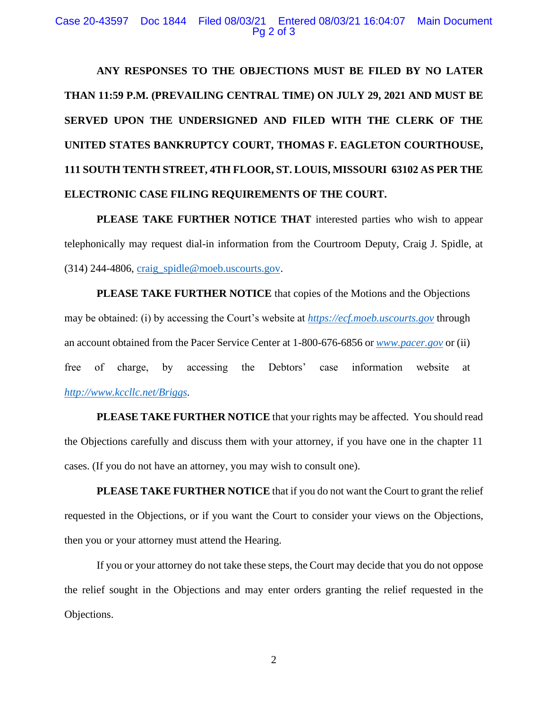#### Case 20-43597 Doc 1844 Filed 08/03/21 Entered 08/03/21 16:04:07 Main Document Pg 2 of 3

**ANY RESPONSES TO THE OBJECTIONS MUST BE FILED BY NO LATER THAN 11:59 P.M. (PREVAILING CENTRAL TIME) ON JULY 29, 2021 AND MUST BE SERVED UPON THE UNDERSIGNED AND FILED WITH THE CLERK OF THE UNITED STATES BANKRUPTCY COURT, THOMAS F. EAGLETON COURTHOUSE, 111 SOUTH TENTH STREET, 4TH FLOOR, ST. LOUIS, MISSOURI 63102 AS PER THE ELECTRONIC CASE FILING REQUIREMENTS OF THE COURT.**

**PLEASE TAKE FURTHER NOTICE THAT** interested parties who wish to appear telephonically may request dial-in information from the Courtroom Deputy, Craig J. Spidle, at (314) 244-4806, [craig\\_spidle@moeb.uscourts.gov.](mailto:craig_spidle@moeb.uscourts.gov)

**PLEASE TAKE FURTHER NOTICE** that copies of the Motions and the Objections may be obtained: (i) by accessing the Court's website at *[https://ecf.moeb.uscourts.gov](https://ecf.moeb.uscourts.gov/)* through an account obtained from the Pacer Service Center at 1-800-676-6856 or *[www.pacer.gov](http://www.pacer.gov/)* or (ii) free of charge, by accessing the Debtors' case information website at *[http://www.kccllc.net/Briggs.](http://www.kccllc.net/Briggs)*

**PLEASE TAKE FURTHER NOTICE** that your rights may be affected. You should read the Objections carefully and discuss them with your attorney, if you have one in the chapter 11 cases. (If you do not have an attorney, you may wish to consult one).

**PLEASE TAKE FURTHER NOTICE** that if you do not want the Court to grant the relief requested in the Objections, or if you want the Court to consider your views on the Objections, then you or your attorney must attend the Hearing.

If you or your attorney do not take these steps, the Court may decide that you do not oppose the relief sought in the Objections and may enter orders granting the relief requested in the Objections.